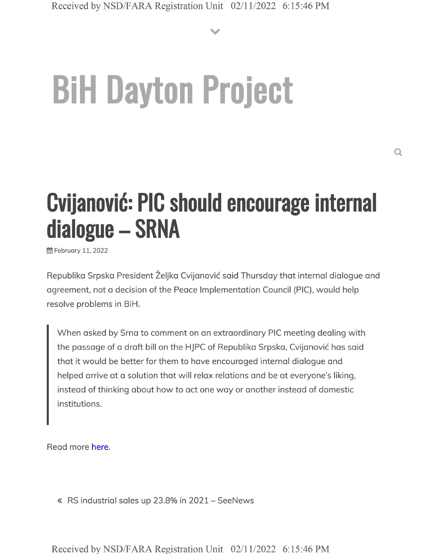**V**

# **BiH Dayton Project**

## **Cvijanovid: PIC should encourage internal dialogue - SRNA**

**简 February 11, 2022** 

Republika Srpska President Željka Cvijanović said Thursday that internal dialogue and agreement, not a decision of the Peace Implementation Council (PIC), would help resolve problems in BiH.

When asked by Srna to comment on an extraordinary PIC meeting dealing with the passage of a draft bill on the HJPC of Republika Srpska, Cvijanovic has said that it would be better for them to have encouraged internal dialogue and helped arrive at a solution that will relax relations and be at everyone's liking, instead of thinking about how to act one way or another instead of domestic institutions.

Read more here.

« RS industrial sales up 23.8% in <sup>2021</sup> - SeeNews

Received by NSD/FARA Registration Unit 02/11/2022 6:15:46 PM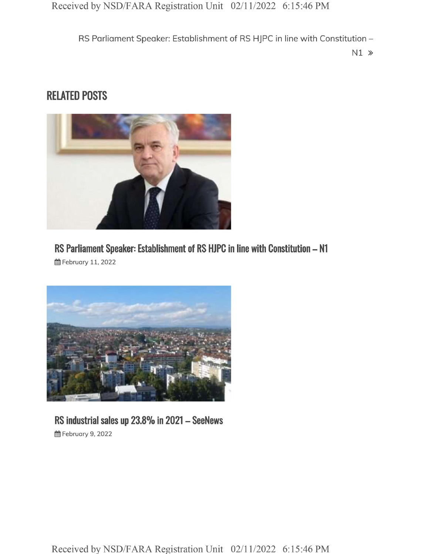RS Parliament Speaker: Establishment of RS HJPC in line with Constitution -

N1 »

### **RELATED POSTS**



**RS Parliament Speaker: Establishment of RS HJPC in line with Constitution - N1 曲 February 11, 2022** 



#### **RS industrial sales up 23.8% in <sup>2021</sup> - SeeNews 曲 February 9, 2022**

Received by NSD/FARA Registration Unit 02/11/2022 6:15:46 PM